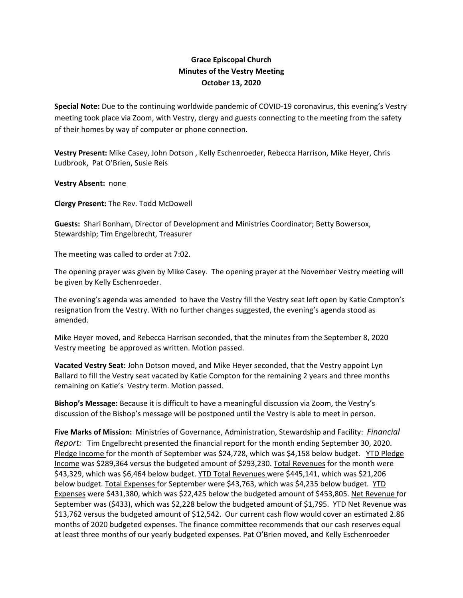## **Grace Episcopal Church Minutes of the Vestry Meeting October 13, 2020**

**Special Note:** Due to the continuing worldwide pandemic of COVID‐19 coronavirus, this evening's Vestry meeting took place via Zoom, with Vestry, clergy and guests connecting to the meeting from the safety of their homes by way of computer or phone connection.

**Vestry Present:** Mike Casey, John Dotson , Kelly Eschenroeder, Rebecca Harrison, Mike Heyer, Chris Ludbrook, Pat O'Brien, Susie Reis

**Vestry Absent:** none

**Clergy Present:** The Rev. Todd McDowell

**Guests:** Shari Bonham, Director of Development and Ministries Coordinator; Betty Bowersox, Stewardship; Tim Engelbrecht, Treasurer

The meeting was called to order at 7:02.

The opening prayer was given by Mike Casey. The opening prayer at the November Vestry meeting will be given by Kelly Eschenroeder.

The evening's agenda was amended to have the Vestry fill the Vestry seat left open by Katie Compton's resignation from the Vestry. With no further changes suggested, the evening's agenda stood as amended.

Mike Heyer moved, and Rebecca Harrison seconded, that the minutes from the September 8, 2020 Vestry meeting be approved as written. Motion passed.

**Vacated Vestry Seat:** John Dotson moved, and Mike Heyer seconded, that the Vestry appoint Lyn Ballard to fill the Vestry seat vacated by Katie Compton for the remaining 2 years and three months remaining on Katie's Vestry term. Motion passed.

**Bishop's Message:** Because it is difficult to have a meaningful discussion via Zoom, the Vestry's discussion of the Bishop's message will be postponed until the Vestry is able to meet in person.

**Five Marks of Mission:** Ministries of Governance, Administration, Stewardship and Facility: *Financial Report:* Tim Engelbrecht presented the financial report for the month ending September 30, 2020. Pledge Income for the month of September was \$24,728, which was \$4,158 below budget. YTD Pledge Income was \$289,364 versus the budgeted amount of \$293,230. Total Revenues for the month were \$43,329, which was \$6,464 below budget. YTD Total Revenues were \$445,141, which was \$21,206 below budget. Total Expenses for September were \$43,763, which was \$4,235 below budget. YTD Expenses were \$431,380, which was \$22,425 below the budgeted amount of \$453,805. Net Revenue for September was (\$433), which was \$2,228 below the budgeted amount of \$1,795. YTD Net Revenue was \$13,762 versus the budgeted amount of \$12,542. Our current cash flow would cover an estimated 2.86 months of 2020 budgeted expenses. The finance committee recommends that our cash reserves equal at least three months of our yearly budgeted expenses. Pat O'Brien moved, and Kelly Eschenroeder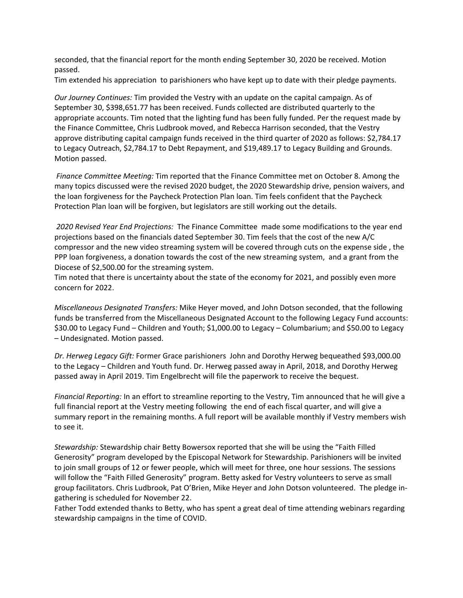seconded, that the financial report for the month ending September 30, 2020 be received. Motion passed.

Tim extended his appreciation to parishioners who have kept up to date with their pledge payments.

*Our Journey Continues:* Tim provided the Vestry with an update on the capital campaign. As of September 30, \$398,651.77 has been received. Funds collected are distributed quarterly to the appropriate accounts. Tim noted that the lighting fund has been fully funded. Per the request made by the Finance Committee, Chris Ludbrook moved, and Rebecca Harrison seconded, that the Vestry approve distributing capital campaign funds received in the third quarter of 2020 as follows: \$2,784.17 to Legacy Outreach, \$2,784.17 to Debt Repayment, and \$19,489.17 to Legacy Building and Grounds. Motion passed.

*Finance Committee Meeting:* Tim reported that the Finance Committee met on October 8. Among the many topics discussed were the revised 2020 budget, the 2020 Stewardship drive, pension waivers, and the loan forgiveness for the Paycheck Protection Plan loan. Tim feels confident that the Paycheck Protection Plan loan will be forgiven, but legislators are still working out the details.

*2020 Revised Year End Projections:* The Finance Committee made some modifications to the year end projections based on the financials dated September 30. Tim feels that the cost of the new A/C compressor and the new video streaming system will be covered through cuts on the expense side , the PPP loan forgiveness, a donation towards the cost of the new streaming system, and a grant from the Diocese of \$2,500.00 for the streaming system.

Tim noted that there is uncertainty about the state of the economy for 2021, and possibly even more concern for 2022.

*Miscellaneous Designated Transfers:* Mike Heyer moved, and John Dotson seconded, that the following funds be transferred from the Miscellaneous Designated Account to the following Legacy Fund accounts: \$30.00 to Legacy Fund – Children and Youth; \$1,000.00 to Legacy – Columbarium; and \$50.00 to Legacy – Undesignated. Motion passed.

*Dr. Herweg Legacy Gift:* Former Grace parishioners John and Dorothy Herweg bequeathed \$93,000.00 to the Legacy – Children and Youth fund. Dr. Herweg passed away in April, 2018, and Dorothy Herweg passed away in April 2019. Tim Engelbrecht will file the paperwork to receive the bequest.

*Financial Reporting:* In an effort to streamline reporting to the Vestry, Tim announced that he will give a full financial report at the Vestry meeting following the end of each fiscal quarter, and will give a summary report in the remaining months. A full report will be available monthly if Vestry members wish to see it.

*Stewardship:* Stewardship chair Betty Bowersox reported that she will be using the "Faith Filled Generosity" program developed by the Episcopal Network for Stewardship. Parishioners will be invited to join small groups of 12 or fewer people, which will meet for three, one hour sessions. The sessions will follow the "Faith Filled Generosity" program. Betty asked for Vestry volunteers to serve as small group facilitators. Chris Ludbrook, Pat O'Brien, Mike Heyer and John Dotson volunteered. The pledge in‐ gathering is scheduled for November 22.

Father Todd extended thanks to Betty, who has spent a great deal of time attending webinars regarding stewardship campaigns in the time of COVID.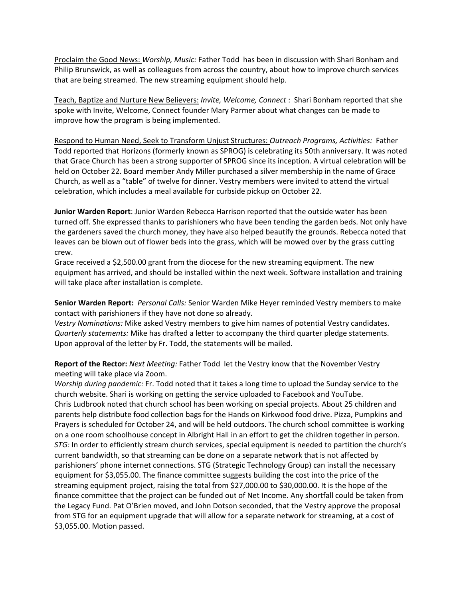Proclaim the Good News: *Worship, Music:* Father Todd has been in discussion with Shari Bonham and Philip Brunswick, as well as colleagues from across the country, about how to improve church services that are being streamed. The new streaming equipment should help.

Teach, Baptize and Nurture New Believers: *Invite, Welcome, Connect* : Shari Bonham reported that she spoke with Invite, Welcome, Connect founder Mary Parmer about what changes can be made to improve how the program is being implemented.

Respond to Human Need, Seek to Transform Unjust Structures: *Outreach Programs, Activities:* Father Todd reported that Horizons (formerly known as SPROG) is celebrating its 50th anniversary. It was noted that Grace Church has been a strong supporter of SPROG since its inception. A virtual celebration will be held on October 22. Board member Andy Miller purchased a silver membership in the name of Grace Church, as well as a "table" of twelve for dinner. Vestry members were invited to attend the virtual celebration, which includes a meal available for curbside pickup on October 22.

**Junior Warden Report**: Junior Warden Rebecca Harrison reported that the outside water has been turned off. She expressed thanks to parishioners who have been tending the garden beds. Not only have the gardeners saved the church money, they have also helped beautify the grounds. Rebecca noted that leaves can be blown out of flower beds into the grass, which will be mowed over by the grass cutting crew.

Grace received a \$2,500.00 grant from the diocese for the new streaming equipment. The new equipment has arrived, and should be installed within the next week. Software installation and training will take place after installation is complete.

**Senior Warden Report:** *Personal Calls:* Senior Warden Mike Heyer reminded Vestry members to make contact with parishioners if they have not done so already.

*Vestry Nominations:* Mike asked Vestry members to give him names of potential Vestry candidates. *Quarterly statements:* Mike has drafted a letter to accompany the third quarter pledge statements. Upon approval of the letter by Fr. Todd, the statements will be mailed.

**Report of the Rector:** *Next Meeting:* Father Todd let the Vestry know that the November Vestry meeting will take place via Zoom.

*Worship during pandemic:* Fr. Todd noted that it takes a long time to upload the Sunday service to the church website. Shari is working on getting the service uploaded to Facebook and YouTube. Chris Ludbrook noted that church school has been working on special projects. About 25 children and parents help distribute food collection bags for the Hands on Kirkwood food drive. Pizza, Pumpkins and Prayers is scheduled for October 24, and will be held outdoors. The church school committee is working on a one room schoolhouse concept in Albright Hall in an effort to get the children together in person. *STG:* In order to efficiently stream church services, special equipment is needed to partition the church's current bandwidth, so that streaming can be done on a separate network that is not affected by parishioners' phone internet connections. STG (Strategic Technology Group) can install the necessary equipment for \$3,055.00. The finance committee suggests building the cost into the price of the streaming equipment project, raising the total from \$27,000.00 to \$30,000.00. It is the hope of the finance committee that the project can be funded out of Net Income. Any shortfall could be taken from the Legacy Fund. Pat O'Brien moved, and John Dotson seconded, that the Vestry approve the proposal from STG for an equipment upgrade that will allow for a separate network for streaming, at a cost of \$3,055.00. Motion passed.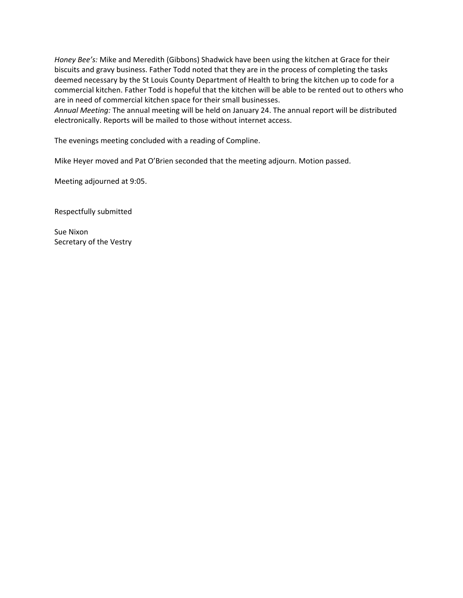*Honey Bee's:* Mike and Meredith (Gibbons) Shadwick have been using the kitchen at Grace for their biscuits and gravy business. Father Todd noted that they are in the process of completing the tasks deemed necessary by the St Louis County Department of Health to bring the kitchen up to code for a commercial kitchen. Father Todd is hopeful that the kitchen will be able to be rented out to others who are in need of commercial kitchen space for their small businesses.

*Annual Meeting:* The annual meeting will be held on January 24. The annual report will be distributed electronically. Reports will be mailed to those without internet access.

The evenings meeting concluded with a reading of Compline.

Mike Heyer moved and Pat O'Brien seconded that the meeting adjourn. Motion passed.

Meeting adjourned at 9:05.

Respectfully submitted

Sue Nixon Secretary of the Vestry